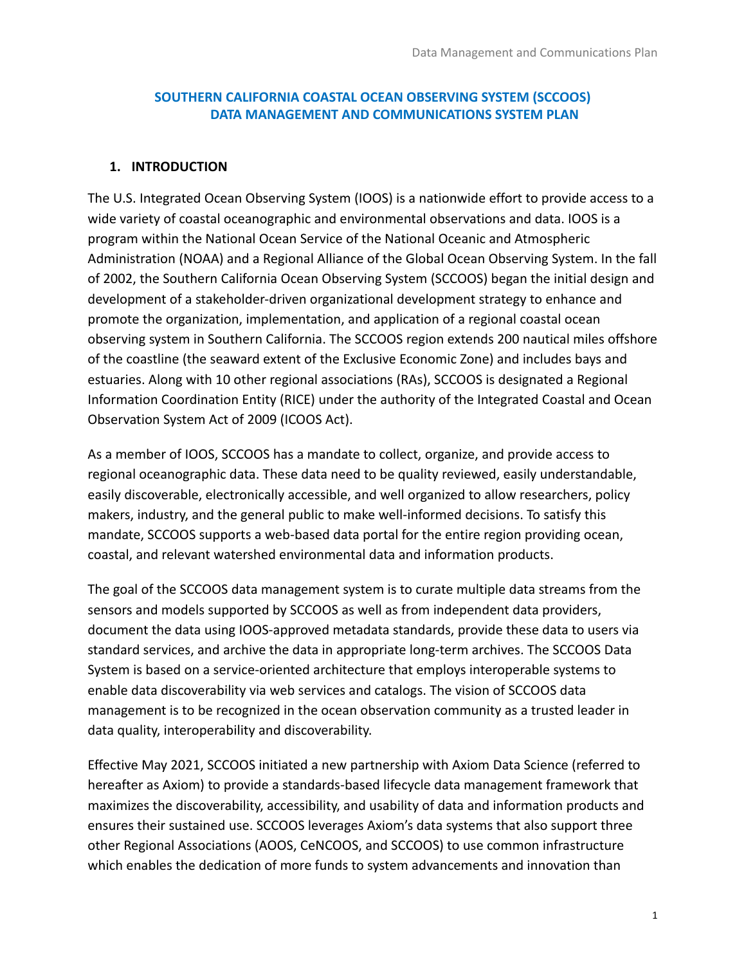## **SOUTHERN CALIFORNIA COASTAL OCEAN OBSERVING SYSTEM (SCCOOS) DATA MANAGEMENT AND COMMUNICATIONS SYSTEM PLAN**

## **1. INTRODUCTION**

The U.S. Integrated Ocean Observing System (IOOS) is a nationwide effort to provide access to a wide variety of coastal oceanographic and environmental observations and data. IOOS is a program within the National Ocean Service of the National Oceanic and Atmospheric Administration (NOAA) and a Regional Alliance of the Global Ocean Observing System. In the fall of 2002, the Southern California Ocean Observing System (SCCOOS) began the initial design and development of a stakeholder-driven organizational development strategy to enhance and promote the organization, implementation, and application of a regional coastal ocean observing system in Southern California. The SCCOOS region extends 200 nautical miles offshore of the coastline (the seaward extent of the Exclusive Economic Zone) and includes bays and estuaries. Along with 10 other regional associations (RAs), SCCOOS is designated a Regional Information Coordination Entity (RICE) under the authority of the Integrated Coastal and Ocean Observation System Act of 2009 (ICOOS Act).

As a member of IOOS, SCCOOS has a mandate to collect, organize, and provide access to regional oceanographic data. These data need to be quality reviewed, easily understandable, easily discoverable, electronically accessible, and well organized to allow researchers, policy makers, industry, and the general public to make well-informed decisions. To satisfy this mandate, SCCOOS supports a web-based data portal for the entire region providing ocean, coastal, and relevant watershed environmental data and information products.

The goal of the SCCOOS data management system is to curate multiple data streams from the sensors and models supported by SCCOOS as well as from independent data providers, document the data using IOOS-approved metadata standards, provide these data to users via standard services, and archive the data in appropriate long-term archives. The SCCOOS Data System is based on a service-oriented architecture that employs interoperable systems to enable data discoverability via web services and catalogs. The vision of SCCOOS data management is to be recognized in the ocean observation community as a trusted leader in data quality, interoperability and discoverability.

Effective May 2021, SCCOOS initiated a new partnership with Axiom Data Science (referred to hereafter as Axiom) to provide a standards-based lifecycle data management framework that maximizes the discoverability, accessibility, and usability of data and information products and ensures their sustained use. SCCOOS leverages Axiom's data systems that also support three other Regional Associations (AOOS, CeNCOOS, and SCCOOS) to use common infrastructure which enables the dedication of more funds to system advancements and innovation than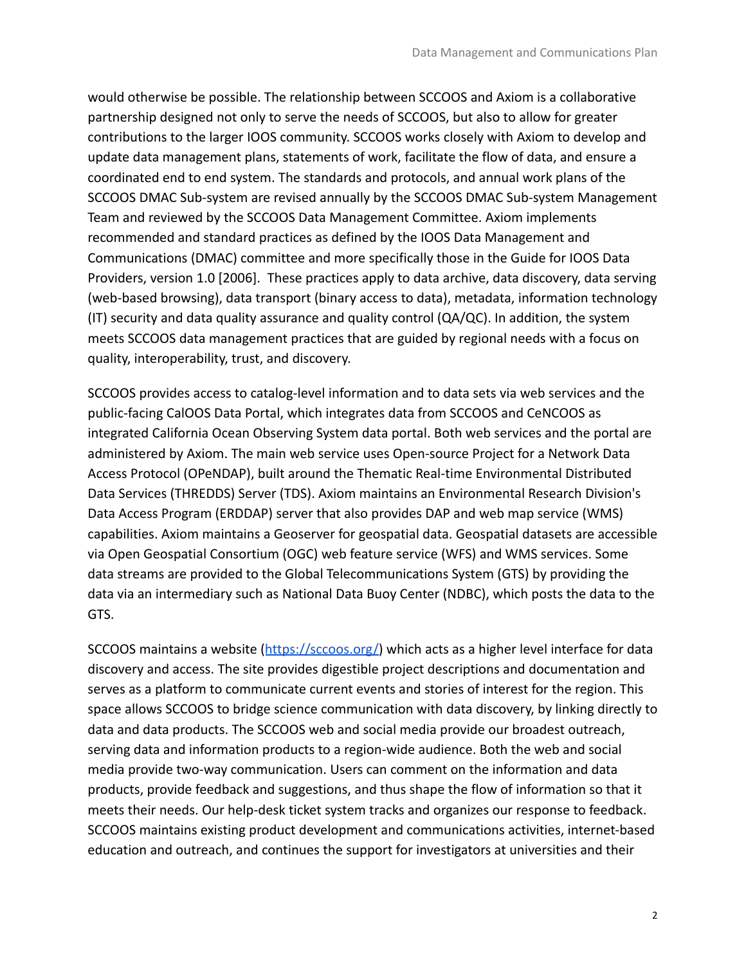would otherwise be possible. The relationship between SCCOOS and Axiom is a collaborative partnership designed not only to serve the needs of SCCOOS, but also to allow for greater contributions to the larger IOOS community. SCCOOS works closely with Axiom to develop and update data management plans, statements of work, facilitate the flow of data, and ensure a coordinated end to end system. The standards and protocols, and annual work plans of the SCCOOS DMAC Sub-system are revised annually by the SCCOOS DMAC Sub-system Management Team and reviewed by the SCCOOS Data Management Committee. Axiom implements recommended and standard practices as defined by the IOOS Data Management and Communications (DMAC) committee and more specifically those in the Guide for IOOS Data Providers, version 1.0 [2006]. These practices apply to data archive, data discovery, data serving (web‐based browsing), data transport (binary access to data), metadata, information technology (IT) security and data quality assurance and quality control (QA/QC). In addition, the system meets SCCOOS data management practices that are guided by regional needs with a focus on quality, interoperability, trust, and discovery.

SCCOOS provides access to catalog-level information and to data sets via web services and the public-facing CalOOS Data Portal, which integrates data from SCCOOS and CeNCOOS as integrated California Ocean Observing System data portal. Both web services and the portal are administered by Axiom. The main web service uses Open-source Project for a Network Data Access Protocol (OPeNDAP), built around the Thematic Real‐time Environmental Distributed Data Services (THREDDS) Server (TDS). Axiom maintains an Environmental Research Division's Data Access Program (ERDDAP) server that also provides DAP and web map service (WMS) capabilities. Axiom maintains a Geoserver for geospatial data. Geospatial datasets are accessible via Open Geospatial Consortium (OGC) web feature service (WFS) and WMS services. Some data streams are provided to the Global Telecommunications System (GTS) by providing the data via an intermediary such as National Data Buoy Center (NDBC), which posts the data to the GTS.

SCCOOS maintains a website ([https://sccoos.org/\)](https://sccoos.org/) which acts as a higher level interface for data discovery and access. The site provides digestible project descriptions and documentation and serves as a platform to communicate current events and stories of interest for the region. This space allows SCCOOS to bridge science communication with data discovery, by linking directly to data and data products. The SCCOOS web and social media provide our broadest outreach, serving data and information products to a region-wide audience. Both the web and social media provide two-way communication. Users can comment on the information and data products, provide feedback and suggestions, and thus shape the flow of information so that it meets their needs. Our help-desk ticket system tracks and organizes our response to feedback. SCCOOS maintains existing product development and communications activities, internet-based education and outreach, and continues the support for investigators at universities and their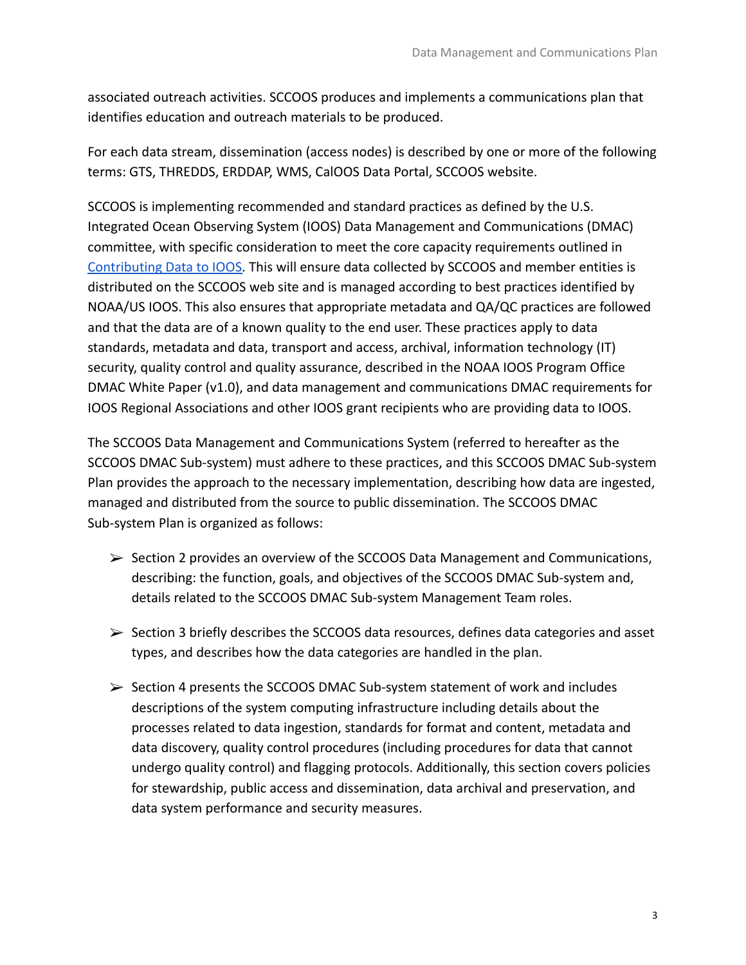associated outreach activities. SCCOOS produces and implements a communications plan that identifies education and outreach materials to be produced.

For each data stream, dissemination (access nodes) is described by one or more of the following terms: GTS, THREDDS, ERDDAP, WMS, CalOOS Data Portal, SCCOOS website.

SCCOOS is implementing recommended and standard practices as defined by the U.S. Integrated Ocean Observing System (IOOS) Data Management and Communications (DMAC) committee, with specific consideration to meet the core capacity requirements outlined in [Contributing Data to IOOS.](https://ioos.noaa.gov/data/contribute-data/) This will ensure data collected by SCCOOS and member entities is distributed on the SCCOOS web site and is managed according to best practices identified by NOAA/US IOOS. This also ensures that appropriate metadata and QA/QC practices are followed and that the data are of a known quality to the end user. These practices apply to data standards, metadata and data, transport and access, archival, information technology (IT) security, quality control and quality assurance, described in the NOAA IOOS Program Office DMAC White Paper (v1.0), and data management and communications DMAC requirements for IOOS Regional Associations and other IOOS grant recipients who are providing data to IOOS.

The SCCOOS Data Management and Communications System (referred to hereafter as the SCCOOS DMAC Sub-system) must adhere to these practices, and this SCCOOS DMAC Sub-system Plan provides the approach to the necessary implementation, describing how data are ingested, managed and distributed from the source to public dissemination. The SCCOOS DMAC Sub-system Plan is organized as follows:

- $\triangleright$  Section 2 provides an overview of the SCCOOS Data Management and Communications, describing: the function, goals, and objectives of the SCCOOS DMAC Sub-system and, details related to the SCCOOS DMAC Sub-system Management Team roles.
- $\triangleright$  Section 3 briefly describes the SCCOOS data resources, defines data categories and asset types, and describes how the data categories are handled in the plan.
- $\triangleright$  Section 4 presents the SCCOOS DMAC Sub-system statement of work and includes descriptions of the system computing infrastructure including details about the processes related to data ingestion, standards for format and content, metadata and data discovery, quality control procedures (including procedures for data that cannot undergo quality control) and flagging protocols. Additionally, this section covers policies for stewardship, public access and dissemination, data archival and preservation, and data system performance and security measures.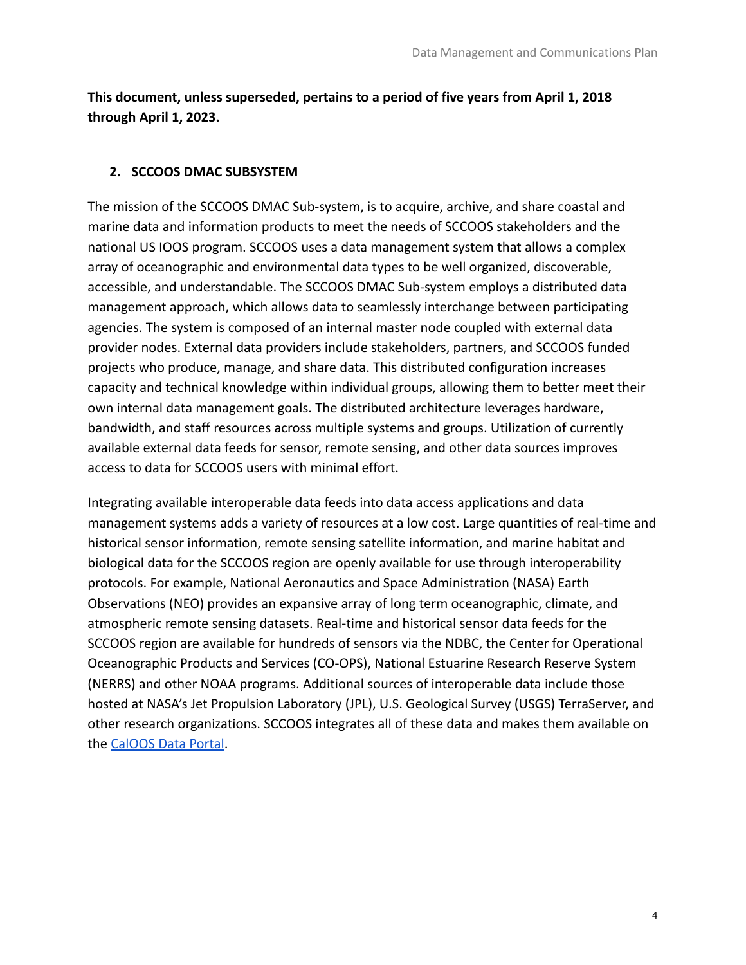**This document, unless superseded, pertains to a period of five years from April 1, 2018 through April 1, 2023.**

#### **2. SCCOOS DMAC SUBSYSTEM**

The mission of the SCCOOS DMAC Sub-system, is to acquire, archive, and share coastal and marine data and information products to meet the needs of SCCOOS stakeholders and the national US IOOS program. SCCOOS uses a data management system that allows a complex array of oceanographic and environmental data types to be well organized, discoverable, accessible, and understandable. The SCCOOS DMAC Sub-system employs a distributed data management approach, which allows data to seamlessly interchange between participating agencies. The system is composed of an internal master node coupled with external data provider nodes. External data providers include stakeholders, partners, and SCCOOS funded projects who produce, manage, and share data. This distributed configuration increases capacity and technical knowledge within individual groups, allowing them to better meet their own internal data management goals. The distributed architecture leverages hardware, bandwidth, and staff resources across multiple systems and groups. Utilization of currently available external data feeds for sensor, remote sensing, and other data sources improves access to data for SCCOOS users with minimal effort.

Integrating available interoperable data feeds into data access applications and data management systems adds a variety of resources at a low cost. Large quantities of real-time and historical sensor information, remote sensing satellite information, and marine habitat and biological data for the SCCOOS region are openly available for use through interoperability protocols. For example, National Aeronautics and Space Administration (NASA) Earth Observations (NEO) provides an expansive array of long term oceanographic, climate, and atmospheric remote sensing datasets. Real-time and historical sensor data feeds for the SCCOOS region are available for hundreds of sensors via the NDBC, the Center for Operational Oceanographic Products and Services (CO-OPS), National Estuarine Research Reserve System (NERRS) and other NOAA programs. Additional sources of interoperable data include those hosted at NASA's Jet Propulsion Laboratory (JPL), U.S. Geological Survey (USGS) TerraServer, and other research organizations. SCCOOS integrates all of these data and makes them available on the [CalOOS Data Portal](https://data.caloos.org/).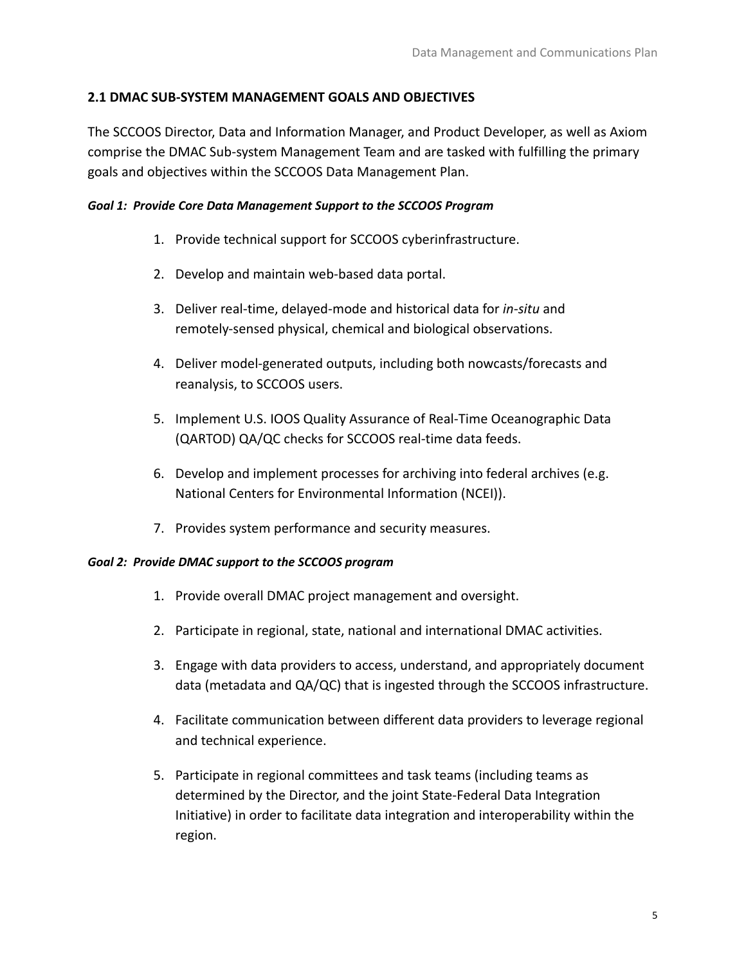## **2.1 DMAC SUB-SYSTEM MANAGEMENT GOALS AND OBJECTIVES**

The SCCOOS Director, Data and Information Manager, and Product Developer, as well as Axiom comprise the DMAC Sub-system Management Team and are tasked with fulfilling the primary goals and objectives within the SCCOOS Data Management Plan.

#### *Goal 1: Provide Core Data Management Support to the SCCOOS Program*

- 1. Provide technical support for SCCOOS cyberinfrastructure.
- 2. Develop and maintain web-based data portal.
- 3. Deliver real-time, delayed-mode and historical data for *in-situ* and remotely-sensed physical, chemical and biological observations.
- 4. Deliver model-generated outputs, including both nowcasts/forecasts and reanalysis, to SCCOOS users.
- 5. Implement U.S. IOOS Quality Assurance of Real-Time Oceanographic Data (QARTOD) QA/QC checks for SCCOOS real-time data feeds.
- 6. Develop and implement processes for archiving into federal archives (e.g. National Centers for Environmental Information (NCEI)).
- 7. Provides system performance and security measures.

#### *Goal 2: Provide DMAC support to the SCCOOS program*

- 1. Provide overall DMAC project management and oversight.
- 2. Participate in regional, state, national and international DMAC activities.
- 3. Engage with data providers to access, understand, and appropriately document data (metadata and QA/QC) that is ingested through the SCCOOS infrastructure.
- 4. Facilitate communication between different data providers to leverage regional and technical experience.
- 5. Participate in regional committees and task teams (including teams as determined by the Director, and the joint State-Federal Data Integration Initiative) in order to facilitate data integration and interoperability within the region.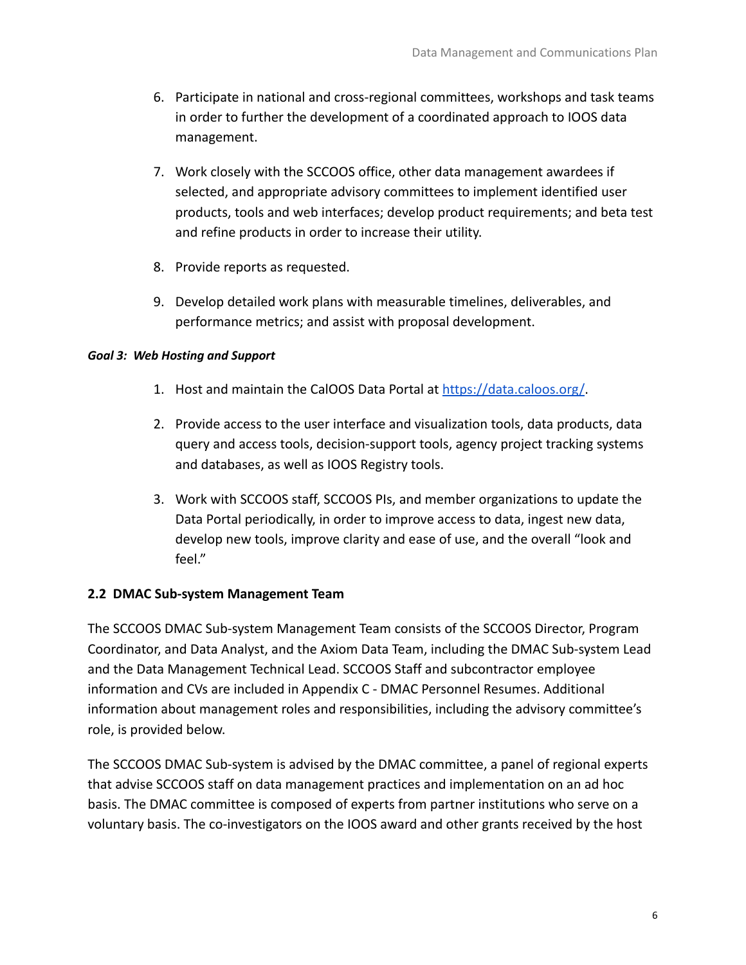- 6. Participate in national and cross-regional committees, workshops and task teams in order to further the development of a coordinated approach to IOOS data management.
- 7. Work closely with the SCCOOS office, other data management awardees if selected, and appropriate advisory committees to implement identified user products, tools and web interfaces; develop product requirements; and beta test and refine products in order to increase their utility.
- 8. Provide reports as requested.
- 9. Develop detailed work plans with measurable timelines, deliverables, and performance metrics; and assist with proposal development.

### *Goal 3: Web Hosting and Support*

- 1. Host and maintain the CalOOS Data Portal at <https://data.caloos.org/>.
- 2. Provide access to the user interface and visualization tools, data products, data query and access tools, decision-support tools, agency project tracking systems and databases, as well as IOOS Registry tools.
- 3. Work with SCCOOS staff, SCCOOS PIs, and member organizations to update the Data Portal periodically, in order to improve access to data, ingest new data, develop new tools, improve clarity and ease of use, and the overall "look and feel."

## **2.2 DMAC Sub-system Management Team**

The SCCOOS DMAC Sub-system Management Team consists of the SCCOOS Director, Program Coordinator, and Data Analyst, and the Axiom Data Team, including the DMAC Sub-system Lead and the Data Management Technical Lead. SCCOOS Staff and subcontractor employee information and CVs are included in Appendix C - DMAC Personnel Resumes. Additional information about management roles and responsibilities, including the advisory committee's role, is provided below.

The SCCOOS DMAC Sub-system is advised by the DMAC committee, a panel of regional experts that advise SCCOOS staff on data management practices and implementation on an ad hoc basis. The DMAC committee is composed of experts from partner institutions who serve on a voluntary basis. The co-investigators on the IOOS award and other grants received by the host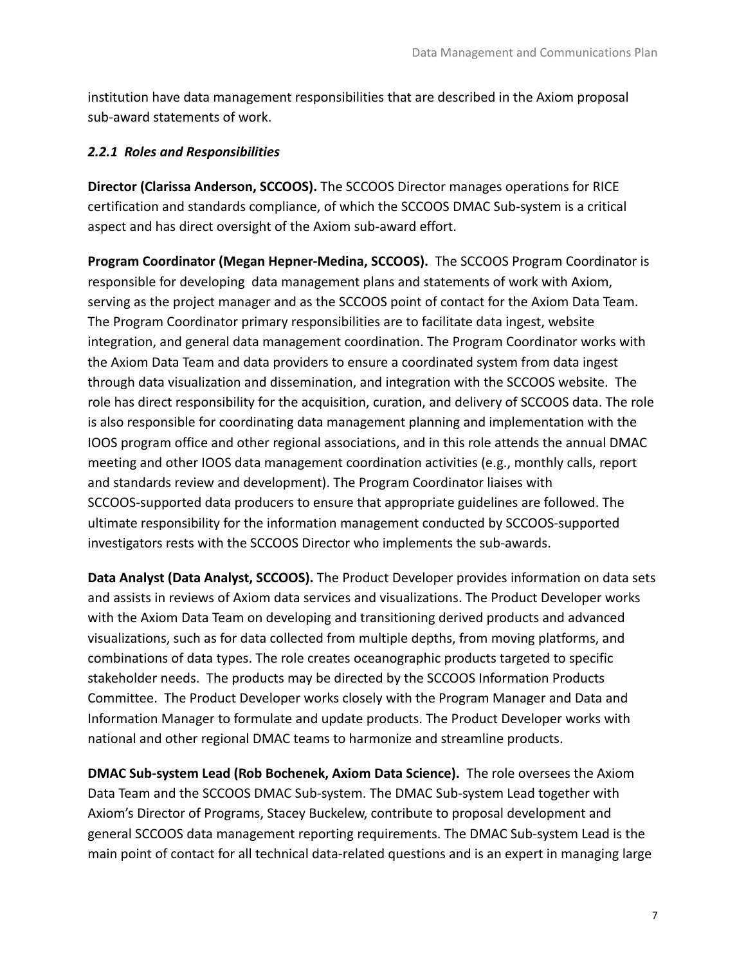institution have data management responsibilities that are described in the Axiom proposal sub-award statements of work.

## *2.2.1 Roles and Responsibilities*

**Director (Clarissa Anderson, SCCOOS).** The SCCOOS Director manages operations for RICE certification and standards compliance, of which the SCCOOS DMAC Sub-system is a critical aspect and has direct oversight of the Axiom sub-award effort.

**Program Coordinator (Megan Hepner-Medina, SCCOOS).** The SCCOOS Program Coordinator is responsible for developing data management plans and statements of work with Axiom, serving as the project manager and as the SCCOOS point of contact for the Axiom Data Team. The Program Coordinator primary responsibilities are to facilitate data ingest, website integration, and general data management coordination. The Program Coordinator works with the Axiom Data Team and data providers to ensure a coordinated system from data ingest through data visualization and dissemination, and integration with the SCCOOS website. The role has direct responsibility for the acquisition, curation, and delivery of SCCOOS data. The role is also responsible for coordinating data management planning and implementation with the IOOS program office and other regional associations, and in this role attends the annual DMAC meeting and other IOOS data management coordination activities (e.g., monthly calls, report and standards review and development). The Program Coordinator liaises with SCCOOS-supported data producers to ensure that appropriate guidelines are followed. The ultimate responsibility for the information management conducted by SCCOOS-supported investigators rests with the SCCOOS Director who implements the sub-awards.

**Data Analyst (Data Analyst, SCCOOS).** The Product Developer provides information on data sets and assists in reviews of Axiom data services and visualizations. The Product Developer works with the Axiom Data Team on developing and transitioning derived products and advanced visualizations, such as for data collected from multiple depths, from moving platforms, and combinations of data types. The role creates oceanographic products targeted to specific stakeholder needs. The products may be directed by the SCCOOS Information Products Committee. The Product Developer works closely with the Program Manager and Data and Information Manager to formulate and update products. The Product Developer works with national and other regional DMAC teams to harmonize and streamline products.

**DMAC Sub-system Lead (Rob Bochenek, Axiom Data Science).** The role oversees the Axiom Data Team and the SCCOOS DMAC Sub-system. The DMAC Sub-system Lead together with Axiom's Director of Programs, Stacey Buckelew, contribute to proposal development and general SCCOOS data management reporting requirements. The DMAC Sub-system Lead is the main point of contact for all technical data-related questions and is an expert in managing large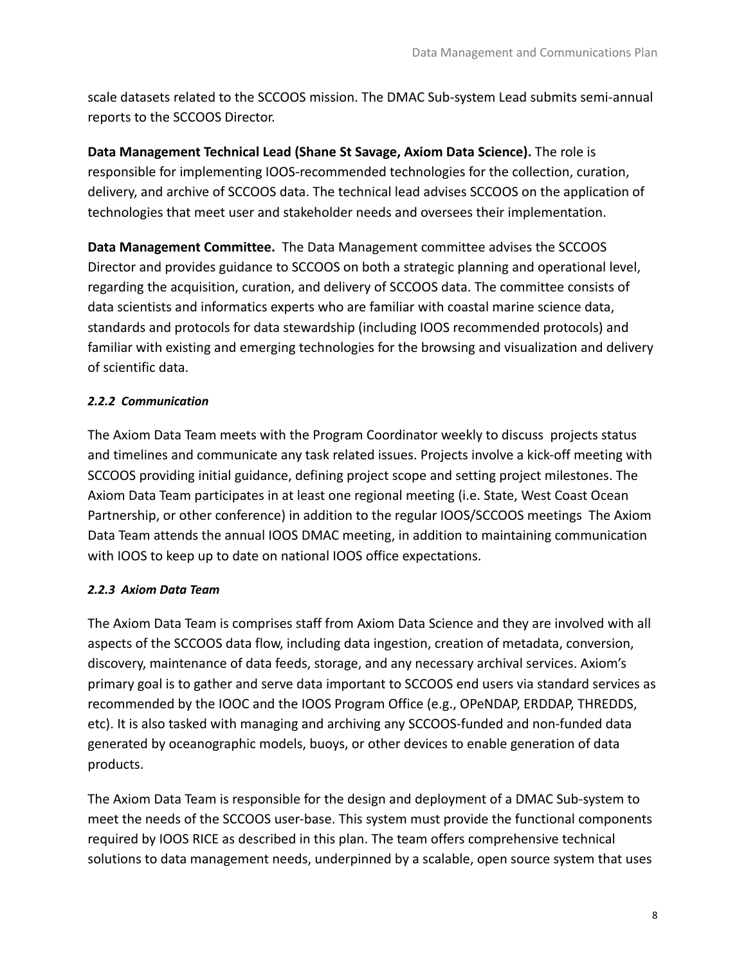scale datasets related to the SCCOOS mission. The DMAC Sub-system Lead submits semi-annual reports to the SCCOOS Director.

**Data Management Technical Lead (Shane St Savage, Axiom Data Science).** The role is responsible for implementing IOOS-recommended technologies for the collection, curation, delivery, and archive of SCCOOS data. The technical lead advises SCCOOS on the application of technologies that meet user and stakeholder needs and oversees their implementation.

**Data Management Committee.** The Data Management committee advises the SCCOOS Director and provides guidance to SCCOOS on both a strategic planning and operational level, regarding the acquisition, curation, and delivery of SCCOOS data. The committee consists of data scientists and informatics experts who are familiar with coastal marine science data, standards and protocols for data stewardship (including IOOS recommended protocols) and familiar with existing and emerging technologies for the browsing and visualization and delivery of scientific data.

# *2.2.2 Communication*

The Axiom Data Team meets with the Program Coordinator weekly to discuss projects status and timelines and communicate any task related issues. Projects involve a kick-off meeting with SCCOOS providing initial guidance, defining project scope and setting project milestones. The Axiom Data Team participates in at least one regional meeting (i.e. State, West Coast Ocean Partnership, or other conference) in addition to the regular IOOS/SCCOOS meetings The Axiom Data Team attends the annual IOOS DMAC meeting, in addition to maintaining communication with IOOS to keep up to date on national IOOS office expectations.

## *2.2.3 Axiom Data Team*

The Axiom Data Team is comprises staff from Axiom Data Science and they are involved with all aspects of the SCCOOS data flow, including data ingestion, creation of metadata, conversion, discovery, maintenance of data feeds, storage, and any necessary archival services. Axiom's primary goal is to gather and serve data important to SCCOOS end users via standard services as recommended by the IOOC and the IOOS Program Office (e.g., OPeNDAP, ERDDAP, THREDDS, etc). It is also tasked with managing and archiving any SCCOOS-funded and non-funded data generated by oceanographic models, buoys, or other devices to enable generation of data products.

The Axiom Data Team is responsible for the design and deployment of a DMAC Sub-system to meet the needs of the SCCOOS user-base. This system must provide the functional components required by IOOS RICE as described in this plan. The team offers comprehensive technical solutions to data management needs, underpinned by a scalable, open source system that uses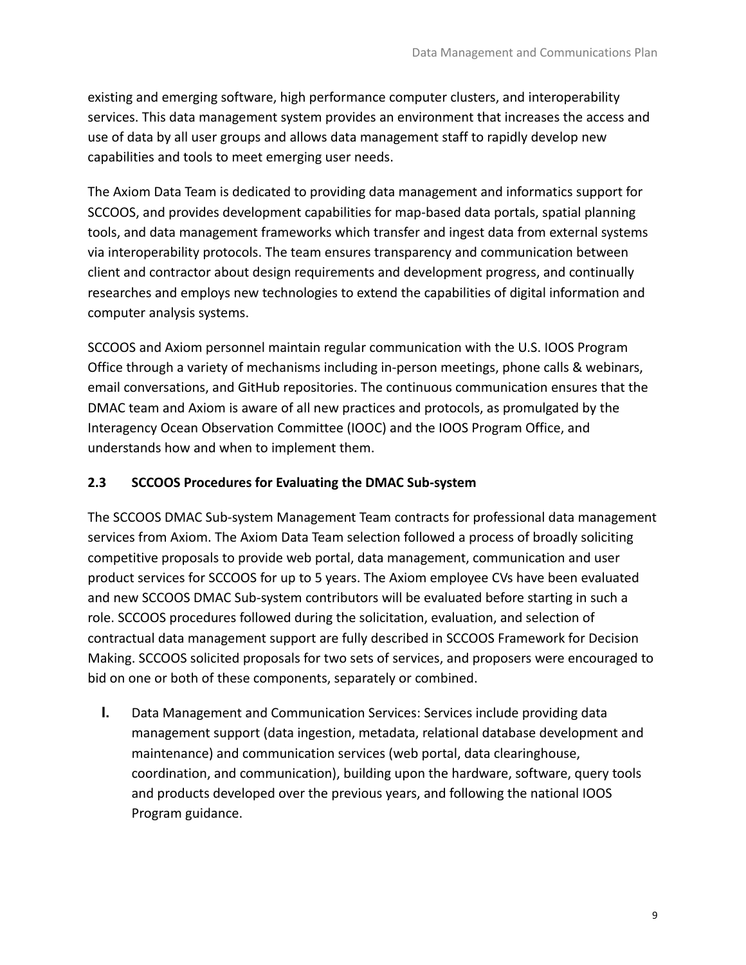existing and emerging software, high performance computer clusters, and interoperability services. This data management system provides an environment that increases the access and use of data by all user groups and allows data management staff to rapidly develop new capabilities and tools to meet emerging user needs.

The Axiom Data Team is dedicated to providing data management and informatics support for SCCOOS, and provides development capabilities for map-based data portals, spatial planning tools, and data management frameworks which transfer and ingest data from external systems via interoperability protocols. The team ensures transparency and communication between client and contractor about design requirements and development progress, and continually researches and employs new technologies to extend the capabilities of digital information and computer analysis systems.

SCCOOS and Axiom personnel maintain regular communication with the U.S. IOOS Program Office through a variety of mechanisms including in-person meetings, phone calls & webinars, email conversations, and GitHub repositories. The continuous communication ensures that the DMAC team and Axiom is aware of all new practices and protocols, as promulgated by the Interagency Ocean Observation Committee (IOOC) and the IOOS Program Office, and understands how and when to implement them.

# **2.3 SCCOOS Procedures for Evaluating the DMAC Sub-system**

The SCCOOS DMAC Sub-system Management Team contracts for professional data management services from Axiom. The Axiom Data Team selection followed a process of broadly soliciting competitive proposals to provide web portal, data management, communication and user product services for SCCOOS for up to 5 years. The Axiom employee CVs have been evaluated and new SCCOOS DMAC Sub-system contributors will be evaluated before starting in such a role. SCCOOS procedures followed during the solicitation, evaluation, and selection of contractual data management support are fully described in SCCOOS Framework for Decision Making. SCCOOS solicited proposals for two sets of services, and proposers were encouraged to bid on one or both of these components, separately or combined.

**I.** Data Management and Communication Services: Services include providing data management support (data ingestion, metadata, relational database development and maintenance) and communication services (web portal, data clearinghouse, coordination, and communication), building upon the hardware, software, query tools and products developed over the previous years, and following the national IOOS Program guidance.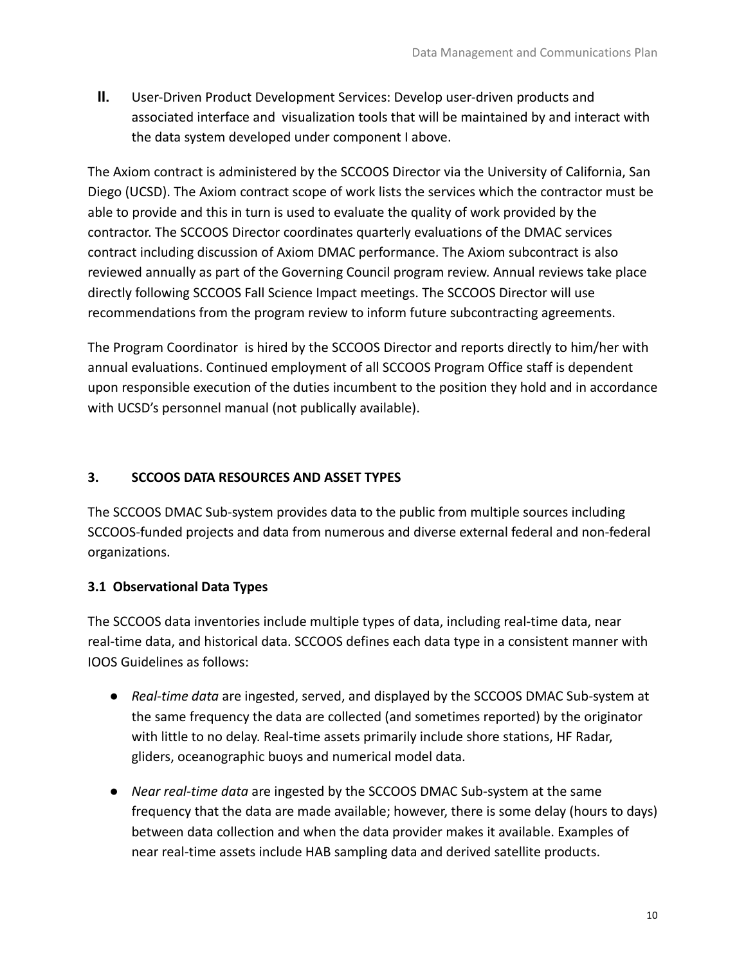**II.** User-Driven Product Development Services: Develop user-driven products and associated interface and visualization tools that will be maintained by and interact with the data system developed under component I above.

The Axiom contract is administered by the SCCOOS Director via the University of California, San Diego (UCSD). The Axiom contract scope of work lists the services which the contractor must be able to provide and this in turn is used to evaluate the quality of work provided by the contractor. The SCCOOS Director coordinates quarterly evaluations of the DMAC services contract including discussion of Axiom DMAC performance. The Axiom subcontract is also reviewed annually as part of the Governing Council program review. Annual reviews take place directly following SCCOOS Fall Science Impact meetings. The SCCOOS Director will use recommendations from the program review to inform future subcontracting agreements.

The Program Coordinator is hired by the SCCOOS Director and reports directly to him/her with annual evaluations. Continued employment of all SCCOOS Program Office staff is dependent upon responsible execution of the duties incumbent to the position they hold and in accordance with UCSD's personnel manual (not publically available).

# **3. SCCOOS DATA RESOURCES AND ASSET TYPES**

The SCCOOS DMAC Sub-system provides data to the public from multiple sources including SCCOOS-funded projects and data from numerous and diverse external federal and non-federal organizations.

# **3.1 Observational Data Types**

The SCCOOS data inventories include multiple types of data, including real-time data, near real-time data, and historical data. SCCOOS defines each data type in a consistent manner with IOOS Guidelines as follows:

- *Real-time data* are ingested, served, and displayed by the SCCOOS DMAC Sub-system at the same frequency the data are collected (and sometimes reported) by the originator with little to no delay. Real-time assets primarily include shore stations, HF Radar, gliders, oceanographic buoys and numerical model data.
- *● Near real-time data* are ingested by the SCCOOS DMAC Sub-system at the same frequency that the data are made available; however, there is some delay (hours to days) between data collection and when the data provider makes it available. Examples of near real-time assets include HAB sampling data and derived satellite products.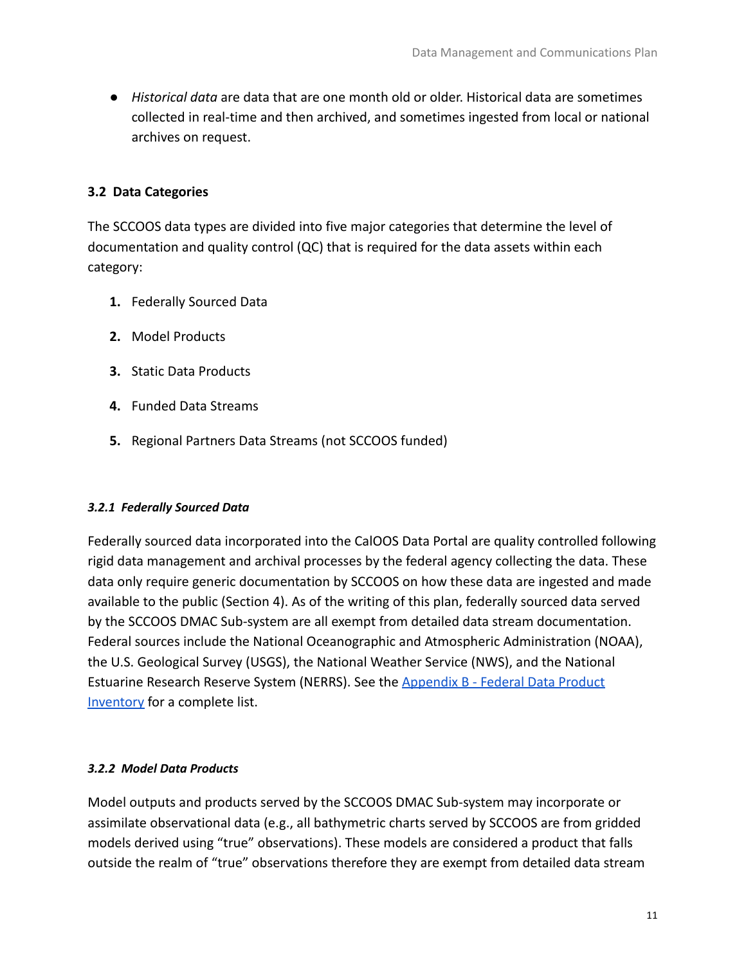● *Historical data* are data that are one month old or older. Historical data are sometimes collected in real-time and then archived, and sometimes ingested from local or national archives on request.

## **3.2 Data Categories**

The SCCOOS data types are divided into five major categories that determine the level of documentation and quality control (QC) that is required for the data assets within each category:

- **1.** Federally Sourced Data
- **2.** Model Products
- **3.** Static Data Products
- **4.** Funded Data Streams
- **5.** Regional Partners Data Streams (not SCCOOS funded)

## *3.2.1 Federally Sourced Data*

Federally sourced data incorporated into the CalOOS Data Portal are quality controlled following rigid data management and archival processes by the federal agency collecting the data. These data only require generic documentation by SCCOOS on how these data are ingested and made available to the public (Section 4). As of the writing of this plan, federally sourced data served by the SCCOOS DMAC Sub-system are all exempt from detailed data stream documentation. Federal sources include the National Oceanographic and Atmospheric Administration (NOAA), the U.S. Geological Survey (USGS), the National Weather Service (NWS), and the National Estuarine Research Reserve System (NERRS). See the [Appendix B - Federal Data Product](https://drive.google.com/open?id=1B6yWdrmojSMeQ1UI6LFlSCpM3w7yZizkEolP5-cPmZk) [Inventory](https://drive.google.com/open?id=1B6yWdrmojSMeQ1UI6LFlSCpM3w7yZizkEolP5-cPmZk) for a complete list.

#### *3.2.2 Model Data Products*

Model outputs and products served by the SCCOOS DMAC Sub-system may incorporate or assimilate observational data (e.g., all bathymetric charts served by SCCOOS are from gridded models derived using "true" observations). These models are considered a product that falls outside the realm of "true" observations therefore they are exempt from detailed data stream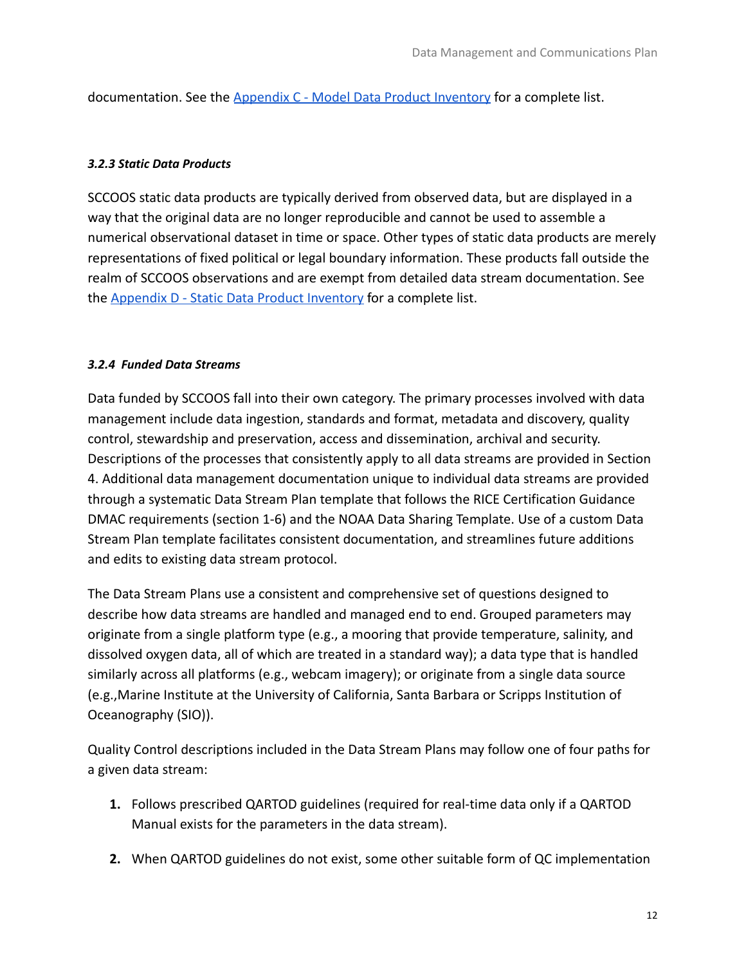documentation. See the [Appendix C - Model Data Product Inventory](https://drive.google.com/open?id=1_VYsm4SDjRVWOGq2Eh6tfEsiN4363GlP9vW3IfS-DUU) for a complete list.

### *3.2.3 Static Data Products*

SCCOOS static data products are typically derived from observed data, but are displayed in a way that the original data are no longer reproducible and cannot be used to assemble a numerical observational dataset in time or space. Other types of static data products are merely representations of fixed political or legal boundary information. These products fall outside the realm of SCCOOS observations and are exempt from detailed data stream documentation. See the [Appendix D - Static Data Product Inventory](https://drive.google.com/open?id=1gIuX2G9QUWN8vWY-iYbtu3KziFJOZGWvHN5U1dLs19c) for a complete list.

### *3.2.4 Funded Data Streams*

Data funded by SCCOOS fall into their own category. The primary processes involved with data management include data ingestion, standards and format, metadata and discovery, quality control, stewardship and preservation, access and dissemination, archival and security. Descriptions of the processes that consistently apply to all data streams are provided in Section 4. Additional data management documentation unique to individual data streams are provided through a systematic Data Stream Plan template that follows the RICE Certification Guidance DMAC requirements (section 1-6) and the NOAA Data Sharing Template. Use of a custom Data Stream Plan template facilitates consistent documentation, and streamlines future additions and edits to existing data stream protocol.

The Data Stream Plans use a consistent and comprehensive set of questions designed to describe how data streams are handled and managed end to end. Grouped parameters may originate from a single platform type (e.g., a mooring that provide temperature, salinity, and dissolved oxygen data, all of which are treated in a standard way); a data type that is handled similarly across all platforms (e.g., webcam imagery); or originate from a single data source (e.g.,Marine Institute at the University of California, Santa Barbara or Scripps Institution of Oceanography (SIO)).

Quality Control descriptions included in the Data Stream Plans may follow one of four paths for a given data stream:

- **1.** Follows prescribed QARTOD guidelines (required for real-time data only if a QARTOD Manual exists for the parameters in the data stream).
- **2.** When QARTOD guidelines do not exist, some other suitable form of QC implementation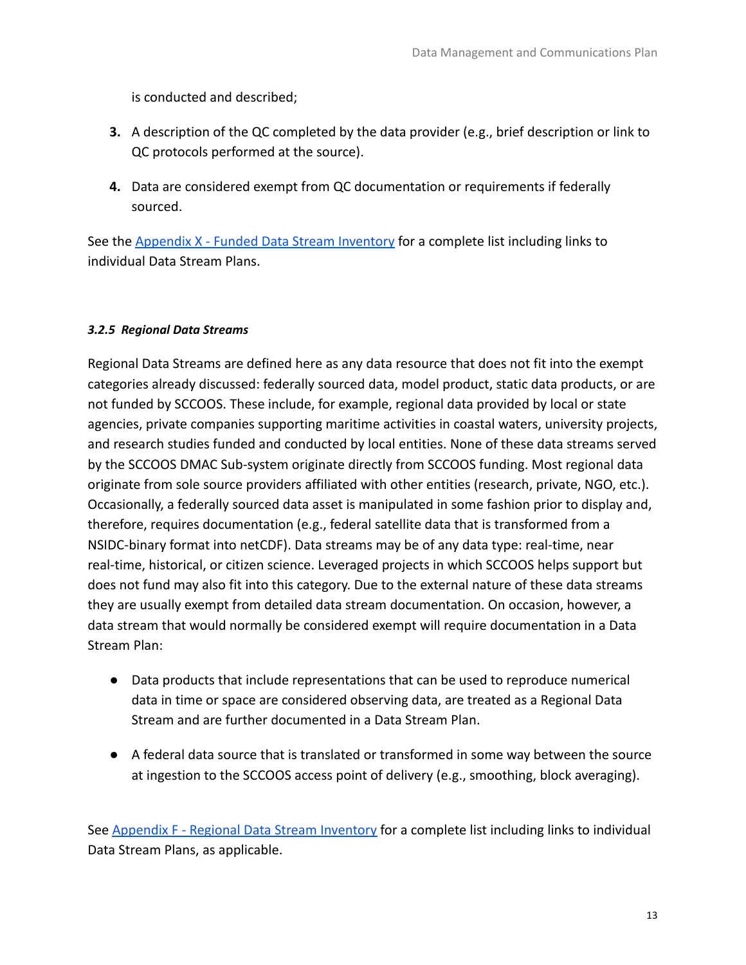is conducted and described;

- **3.** A description of the QC completed by the data provider (e.g., brief description or link to QC protocols performed at the source).
- **4.** Data are considered exempt from QC documentation or requirements if federally sourced.

See the [Appendix X - Funded Data Stream Inventory](https://docs.google.com/document/d/1sCKWbdu-h9mC3emcKWoN4EAjD6JprN5qM7goGXLB0B8/edit#) for a complete list including links to individual Data Stream Plans.

# *3.2.5 Regional Data Streams*

Regional Data Streams are defined here as any data resource that does not fit into the exempt categories already discussed: federally sourced data, model product, static data products, or are not funded by SCCOOS. These include, for example, regional data provided by local or state agencies, private companies supporting maritime activities in coastal waters, university projects, and research studies funded and conducted by local entities. None of these data streams served by the SCCOOS DMAC Sub-system originate directly from SCCOOS funding. Most regional data originate from sole source providers affiliated with other entities (research, private, NGO, etc.). Occasionally, a federally sourced data asset is manipulated in some fashion prior to display and, therefore, requires documentation (e.g., federal satellite data that is transformed from a NSIDC-binary format into netCDF). Data streams may be of any data type: real-time, near real-time, historical, or citizen science. Leveraged projects in which SCCOOS helps support but does not fund may also fit into this category. Due to the external nature of these data streams they are usually exempt from detailed data stream documentation. On occasion, however, a data stream that would normally be considered exempt will require documentation in a Data Stream Plan:

- Data products that include representations that can be used to reproduce numerical data in time or space are considered observing data, are treated as a Regional Data Stream and are further documented in a Data Stream Plan.
- A federal data source that is translated or transformed in some way between the source at ingestion to the SCCOOS access point of delivery (e.g., smoothing, block averaging).

See [Appendix F - Regional Data Stream Inventory](https://drive.google.com/open?id=19MwIz5MRHkyju9AVfUVUOhQVJNoAFprx-1pPU_LEPVA) for a complete list including links to individual Data Stream Plans, as applicable.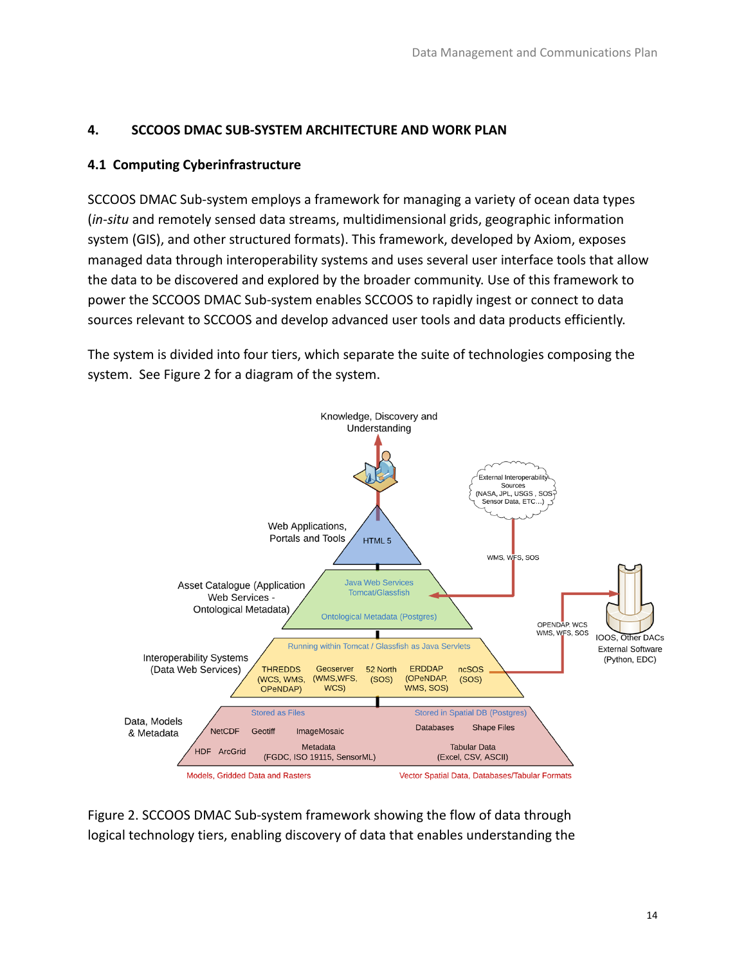# **4. SCCOOS DMAC SUB-SYSTEM ARCHITECTURE AND WORK PLAN**

# **4.1 Computing Cyberinfrastructure**

SCCOOS DMAC Sub-system employs a framework for managing a variety of ocean data types (*in-situ* and remotely sensed data streams, multidimensional grids, geographic information system (GIS), and other structured formats). This framework, developed by Axiom, exposes managed data through interoperability systems and uses several user interface tools that allow the data to be discovered and explored by the broader community. Use of this framework to power the SCCOOS DMAC Sub-system enables SCCOOS to rapidly ingest or connect to data sources relevant to SCCOOS and develop advanced user tools and data products efficiently.

The system is divided into four tiers, which separate the suite of technologies composing the system. See Figure 2 for a diagram of the system.



Figure 2. SCCOOS DMAC Sub-system framework showing the flow of data through logical technology tiers, enabling discovery of data that enables understanding the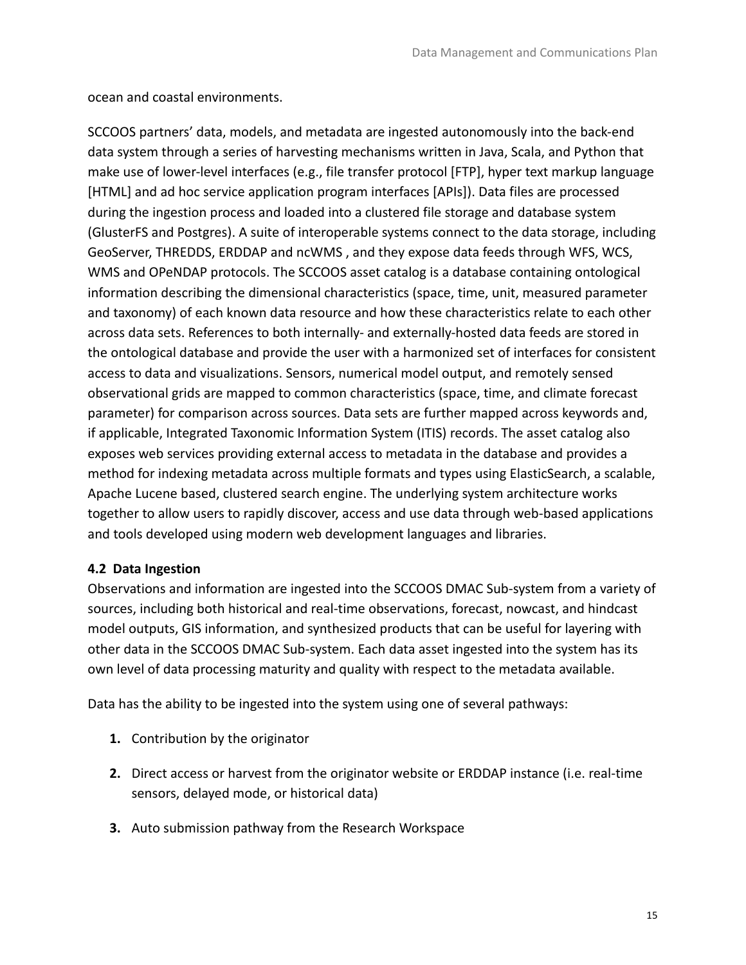ocean and coastal environments.

SCCOOS partners' data, models, and metadata are ingested autonomously into the back-end data system through a series of harvesting mechanisms written in Java, Scala, and Python that make use of lower-level interfaces (e.g., file transfer protocol [FTP], hyper text markup language [HTML] and ad hoc service application program interfaces [APIs]). Data files are processed during the ingestion process and loaded into a clustered file storage and database system (GlusterFS and Postgres). A suite of interoperable systems connect to the data storage, including GeoServer, THREDDS, ERDDAP and ncWMS , and they expose data feeds through WFS, WCS, WMS and OPeNDAP protocols. The SCCOOS asset catalog is a database containing ontological information describing the dimensional characteristics (space, time, unit, measured parameter and taxonomy) of each known data resource and how these characteristics relate to each other across data sets. References to both internally- and externally-hosted data feeds are stored in the ontological database and provide the user with a harmonized set of interfaces for consistent access to data and visualizations. Sensors, numerical model output, and remotely sensed observational grids are mapped to common characteristics (space, time, and climate forecast parameter) for comparison across sources. Data sets are further mapped across keywords and, if applicable, Integrated Taxonomic Information System (ITIS) records. The asset catalog also exposes web services providing external access to metadata in the database and provides a method for indexing metadata across multiple formats and types using ElasticSearch, a scalable, Apache Lucene based, clustered search engine. The underlying system architecture works together to allow users to rapidly discover, access and use data through web-based applications and tools developed using modern web development languages and libraries.

## **4.2 Data Ingestion**

Observations and information are ingested into the SCCOOS DMAC Sub-system from a variety of sources, including both historical and real-time observations, forecast, nowcast, and hindcast model outputs, GIS information, and synthesized products that can be useful for layering with other data in the SCCOOS DMAC Sub-system. Each data asset ingested into the system has its own level of data processing maturity and quality with respect to the metadata available.

Data has the ability to be ingested into the system using one of several pathways:

- **1.** Contribution by the originator
- **2.** Direct access or harvest from the originator website or ERDDAP instance (i.e. real-time sensors, delayed mode, or historical data)
- **3.** Auto submission pathway from the Research Workspace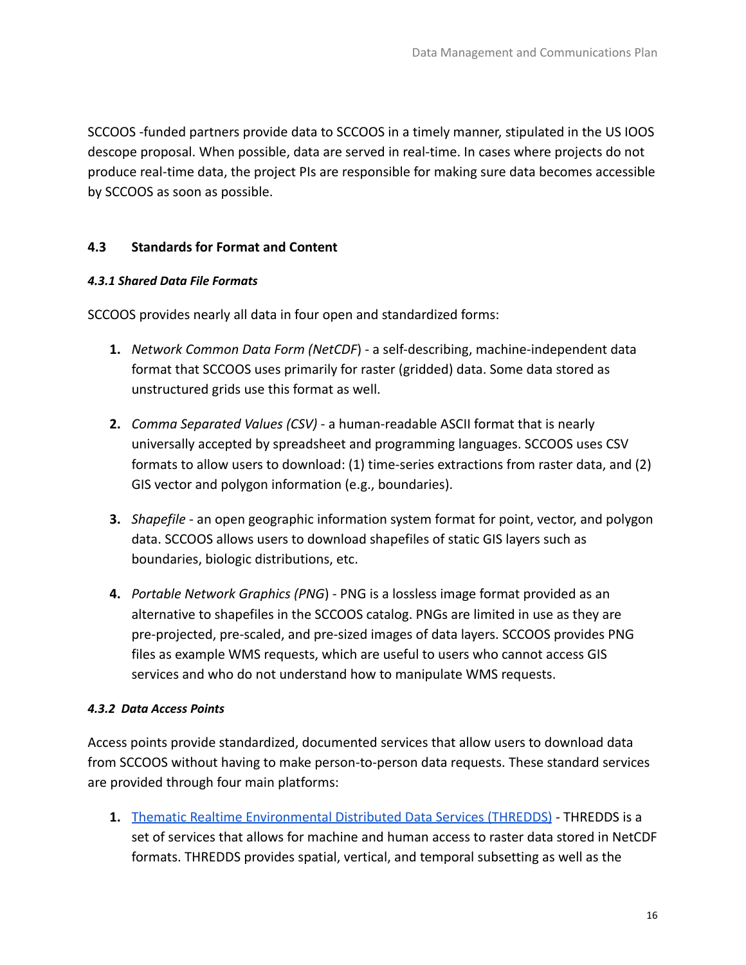SCCOOS -funded partners provide data to SCCOOS in a timely manner, stipulated in the US IOOS descope proposal. When possible, data are served in real-time. In cases where projects do not produce real-time data, the project PIs are responsible for making sure data becomes accessible by SCCOOS as soon as possible.

### **4.3 Standards for Format and Content**

#### *4.3.1 Shared Data File Formats*

SCCOOS provides nearly all data in four open and standardized forms:

- **1.** *Network Common Data Form (NetCDF*) a self-describing, machine-independent data format that SCCOOS uses primarily for raster (gridded) data. Some data stored as unstructured grids use this format as well.
- **2.** *Comma Separated Values (CSV)* a human-readable ASCII format that is nearly universally accepted by spreadsheet and programming languages. SCCOOS uses CSV formats to allow users to download: (1) time-series extractions from raster data, and (2) GIS vector and polygon information (e.g., boundaries).
- **3.** *Shapefile* an open geographic information system format for point, vector, and polygon data. SCCOOS allows users to download shapefiles of static GIS layers such as boundaries, biologic distributions, etc.
- **4.** *Portable Network Graphics (PNG*) PNG is a lossless image format provided as an alternative to shapefiles in the SCCOOS catalog. PNGs are limited in use as they are pre-projected, pre-scaled, and pre-sized images of data layers. SCCOOS provides PNG files as example WMS requests, which are useful to users who cannot access GIS services and who do not understand how to manipulate WMS requests.

#### *4.3.2 Data Access Points*

Access points provide standardized, documented services that allow users to download data from SCCOOS without having to make person-to-person data requests. These standard services are provided through four main platforms:

**1.** [Thematic Realtime Environmental Distributed Data Services \(THREDDS\)](https://thredds.cencoos.org) - THREDDS is a set of services that allows for machine and human access to raster data stored in NetCDF formats. THREDDS provides spatial, vertical, and temporal subsetting as well as the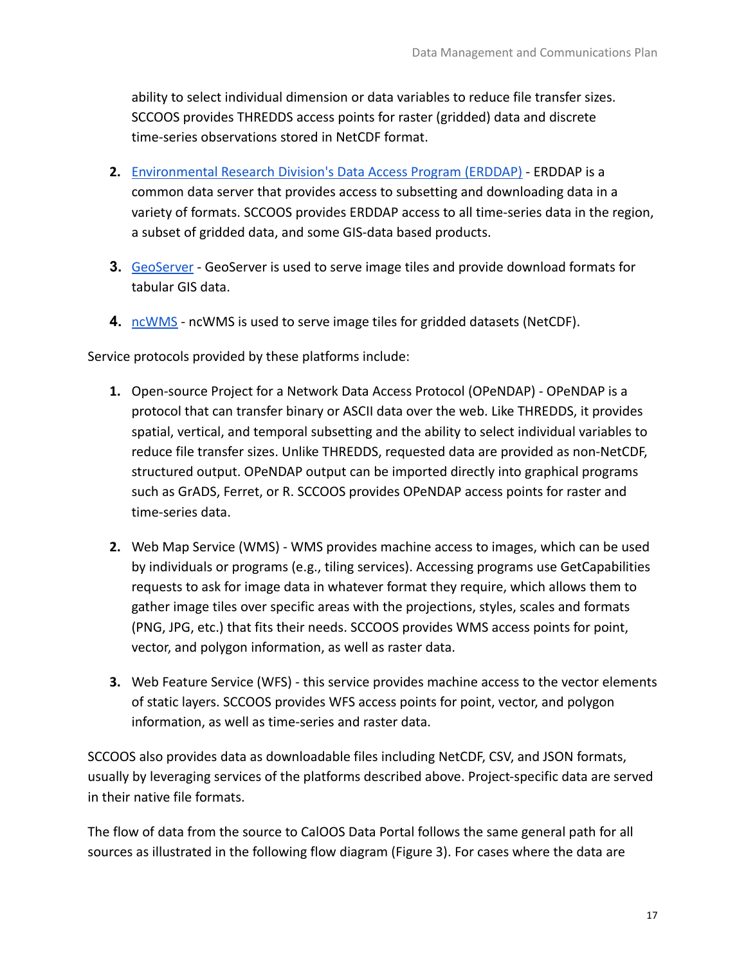ability to select individual dimension or data variables to reduce file transfer sizes. SCCOOS provides THREDDS access points for raster (gridded) data and discrete time-series observations stored in NetCDF format.

- **2.** [Environmental Research Division's Data Access Program \(ERDDAP\)](https://erddap.cencoos.org) ERDDAP is a common data server that provides access to subsetting and downloading data in a variety of formats. SCCOOS provides ERDDAP access to all time-series data in the region, a subset of gridded data, and some GIS-data based products.
- **3.** [GeoServer](https://data.axds.co/gs/) GeoServer is used to serve image tiles and provide download formats for tabular GIS data.
- **4.** [ncWMS](http://data.axds.co/ncWMS/) ncWMS is used to serve image tiles for gridded datasets (NetCDF).

Service protocols provided by these platforms include:

- **1.** Open-source Project for a Network Data Access Protocol (OPeNDAP) OPeNDAP is a protocol that can transfer binary or ASCII data over the web. Like THREDDS, it provides spatial, vertical, and temporal subsetting and the ability to select individual variables to reduce file transfer sizes. Unlike THREDDS, requested data are provided as non-NetCDF, structured output. OPeNDAP output can be imported directly into graphical programs such as GrADS, Ferret, or R. SCCOOS provides OPeNDAP access points for raster and time-series data.
- **2.** Web Map Service (WMS) WMS provides machine access to images, which can be used by individuals or programs (e.g., tiling services). Accessing programs use GetCapabilities requests to ask for image data in whatever format they require, which allows them to gather image tiles over specific areas with the projections, styles, scales and formats (PNG, JPG, etc.) that fits their needs. SCCOOS provides WMS access points for point, vector, and polygon information, as well as raster data.
- **3.** Web Feature Service (WFS) this service provides machine access to the vector elements of static layers. SCCOOS provides WFS access points for point, vector, and polygon information, as well as time-series and raster data.

SCCOOS also provides data as downloadable files including NetCDF, CSV, and JSON formats, usually by leveraging services of the platforms described above. Project-specific data are served in their native file formats.

The flow of data from the source to CalOOS Data Portal follows the same general path for all sources as illustrated in the following flow diagram (Figure 3). For cases where the data are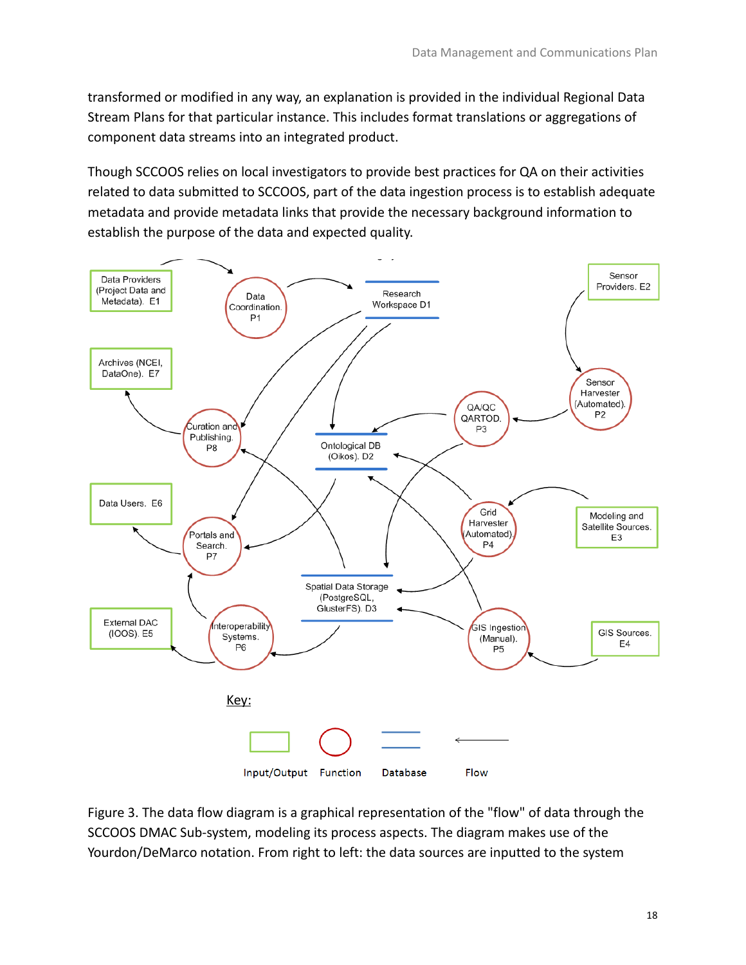transformed or modified in any way, an explanation is provided in the individual Regional Data Stream Plans for that particular instance. This includes format translations or aggregations of component data streams into an integrated product.

Though SCCOOS relies on local investigators to provide best practices for QA on their activities related to data submitted to SCCOOS, part of the data ingestion process is to establish adequate metadata and provide metadata links that provide the necessary background information to establish the purpose of the data and expected quality.



Figure 3. The data flow diagram is a graphical representation of the "flow" of data through the SCCOOS DMAC Sub-system, modeling its process aspects. The diagram makes use of the Yourdon/DeMarco notation. From right to left: the data sources are inputted to the system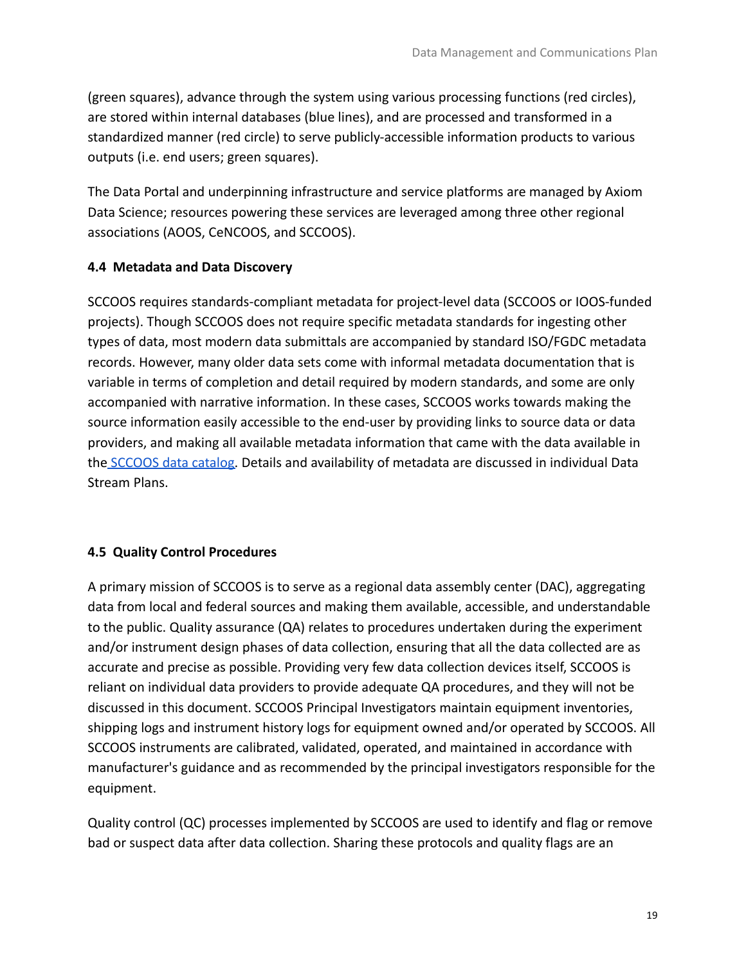(green squares), advance through the system using various processing functions (red circles), are stored within internal databases (blue lines), and are processed and transformed in a standardized manner (red circle) to serve publicly-accessible information products to various outputs (i.e. end users; green squares).

The Data Portal and underpinning infrastructure and service platforms are managed by Axiom Data Science; resources powering these services are leveraged among three other regional associations (AOOS, CeNCOOS, and SCCOOS).

# **4.4 Metadata and Data Discovery**

SCCOOS requires standards-compliant metadata for project-level data (SCCOOS or IOOS-funded projects). Though SCCOOS does not require specific metadata standards for ingesting other types of data, most modern data submittals are accompanied by standard ISO/FGDC metadata records. However, many older data sets come with informal metadata documentation that is variable in terms of completion and detail required by modern standards, and some are only accompanied with narrative information. In these cases, SCCOOS works towards making the source information easily accessible to the end-user by providing links to source data or data providers, and making all available metadata information that came with the data available in the [SCCOOS data catalog.](https://data.caloos.org/#search?type_group=all&page=1) Details and availability of metadata are discussed in individual Data Stream Plans.

# **4.5 Quality Control Procedures**

A primary mission of SCCOOS is to serve as a regional data assembly center (DAC), aggregating data from local and federal sources and making them available, accessible, and understandable to the public. Quality assurance (QA) relates to procedures undertaken during the experiment and/or instrument design phases of data collection, ensuring that all the data collected are as accurate and precise as possible. Providing very few data collection devices itself, SCCOOS is reliant on individual data providers to provide adequate QA procedures, and they will not be discussed in this document. SCCOOS Principal Investigators maintain equipment inventories, shipping logs and instrument history logs for equipment owned and/or operated by SCCOOS. All SCCOOS instruments are calibrated, validated, operated, and maintained in accordance with manufacturer's guidance and as recommended by the principal investigators responsible for the equipment.

Quality control (QC) processes implemented by SCCOOS are used to identify and flag or remove bad or suspect data after data collection. Sharing these protocols and quality flags are an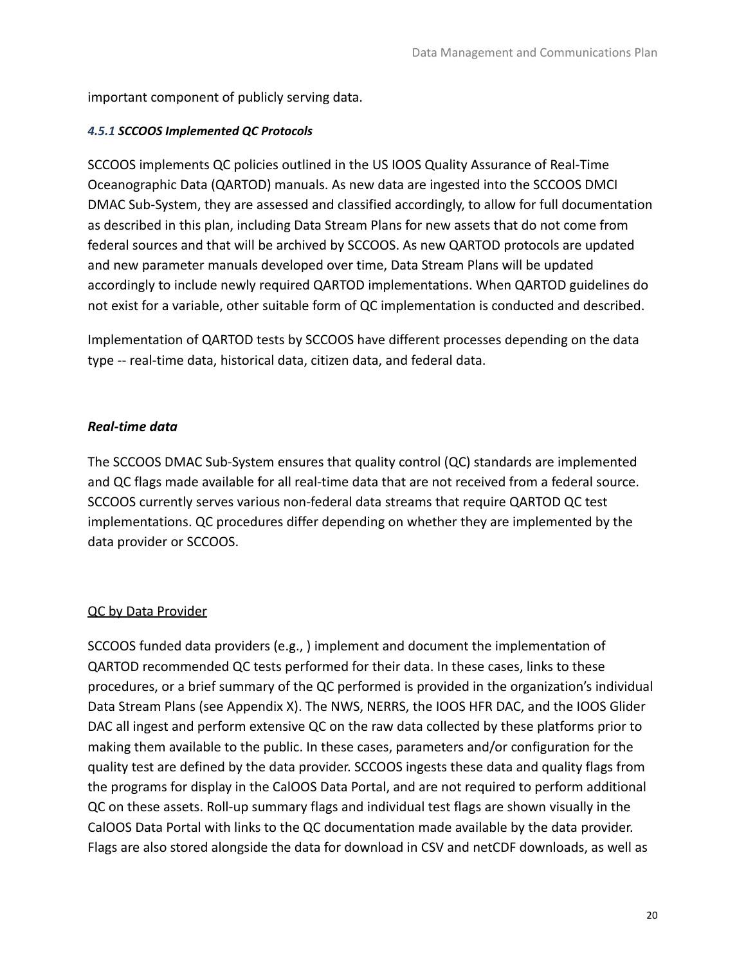important component of publicly serving data.

### *4.5.1 SCCOOS Implemented QC Protocols*

SCCOOS implements QC policies outlined in the US IOOS Quality Assurance of Real-Time Oceanographic Data (QARTOD) manuals. As new data are ingested into the SCCOOS DMCI DMAC Sub-System, they are assessed and classified accordingly, to allow for full documentation as described in this plan, including Data Stream Plans for new assets that do not come from federal sources and that will be archived by SCCOOS. As new QARTOD protocols are updated and new parameter manuals developed over time, Data Stream Plans will be updated accordingly to include newly required QARTOD implementations. When QARTOD guidelines do not exist for a variable, other suitable form of QC implementation is conducted and described.

Implementation of QARTOD tests by SCCOOS have different processes depending on the data type -- real-time data, historical data, citizen data, and federal data.

### *Real-time data*

The SCCOOS DMAC Sub-System ensures that quality control (QC) standards are implemented and QC flags made available for all real-time data that are not received from a federal source. SCCOOS currently serves various non-federal data streams that require QARTOD QC test implementations. QC procedures differ depending on whether they are implemented by the data provider or SCCOOS.

## QC by Data Provider

SCCOOS funded data providers (e.g., ) implement and document the implementation of QARTOD recommended QC tests performed for their data. In these cases, links to these procedures, or a brief summary of the QC performed is provided in the organization's individual Data Stream Plans (see Appendix X). The NWS, NERRS, the IOOS HFR DAC, and the IOOS Glider DAC all ingest and perform extensive QC on the raw data collected by these platforms prior to making them available to the public. In these cases, parameters and/or configuration for the quality test are defined by the data provider. SCCOOS ingests these data and quality flags from the programs for display in the CalOOS Data Portal, and are not required to perform additional QC on these assets. Roll-up summary flags and individual test flags are shown visually in the CalOOS Data Portal with links to the QC documentation made available by the data provider. Flags are also stored alongside the data for download in CSV and netCDF downloads, as well as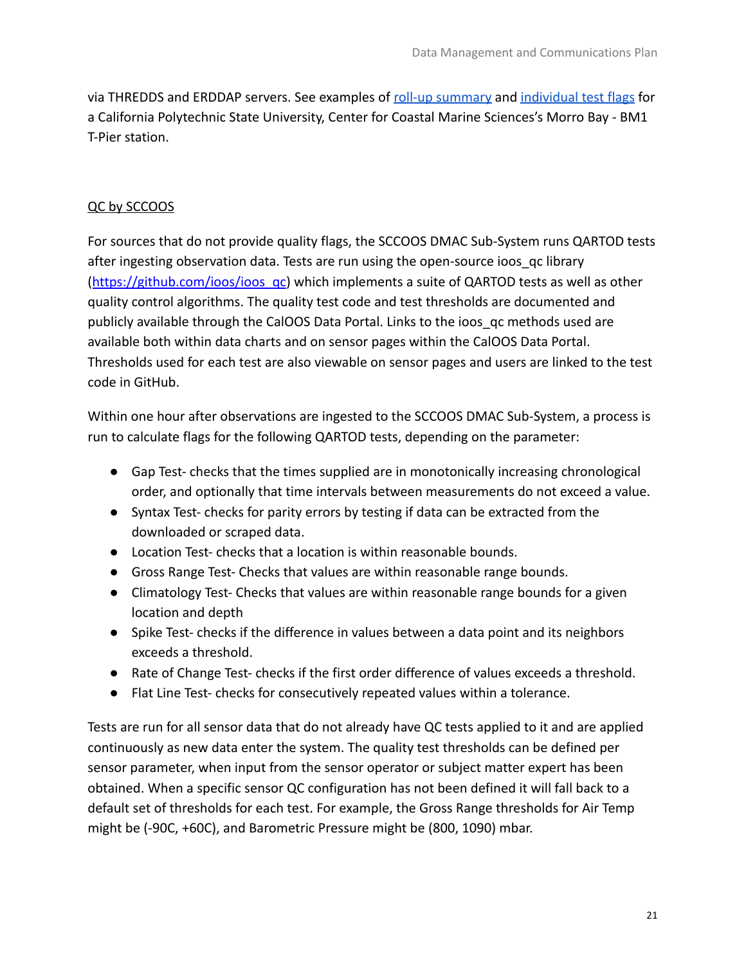via THREDDS and ERDDAP servers. See examples of [roll-up summary](https://data.caloos.org/#metadata/20679/station) and [individual test flags](https://data.caloos.org/#metadata/20679/station/14/sensor/data) for a California Polytechnic State University, Center for Coastal Marine Sciences's Morro Bay - BM1 T-Pier station.

# QC by SCCOOS

For sources that do not provide quality flags, the SCCOOS DMAC Sub-System runs QARTOD tests after ingesting observation data. Tests are run using the open-source ioos qc library ([https://github.com/ioos/ioos\\_qc](https://github.com/ioos/ioos_qc)) which implements a suite of QARTOD tests as well as other quality control algorithms. The quality test code and test thresholds are documented and publicly available through the CalOOS Data Portal. Links to the ioos\_qc methods used are available both within data charts and on sensor pages within the CalOOS Data Portal. Thresholds used for each test are also viewable on sensor pages and users are linked to the test code in GitHub.

Within one hour after observations are ingested to the SCCOOS DMAC Sub-System, a process is run to calculate flags for the following QARTOD tests, depending on the parameter:

- Gap Test- checks that the times supplied are in monotonically increasing chronological order, and optionally that time intervals between measurements do not exceed a value.
- Syntax Test- checks for parity errors by testing if data can be extracted from the downloaded or scraped data.
- Location Test- checks that a location is within reasonable bounds.
- Gross Range Test- Checks that values are within reasonable range bounds.
- Climatology Test- Checks that values are within reasonable range bounds for a given location and depth
- Spike Test- checks if the difference in values between a data point and its neighbors exceeds a threshold.
- Rate of Change Test- checks if the first order difference of values exceeds a threshold.
- Flat Line Test- checks for consecutively repeated values within a tolerance.

Tests are run for all sensor data that do not already have QC tests applied to it and are applied continuously as new data enter the system. The quality test thresholds can be defined per sensor parameter, when input from the sensor operator or subject matter expert has been obtained. When a specific sensor QC configuration has not been defined it will fall back to a default set of thresholds for each test. For example, the Gross Range thresholds for Air Temp might be (-90C, +60C), and Barometric Pressure might be (800, 1090) mbar.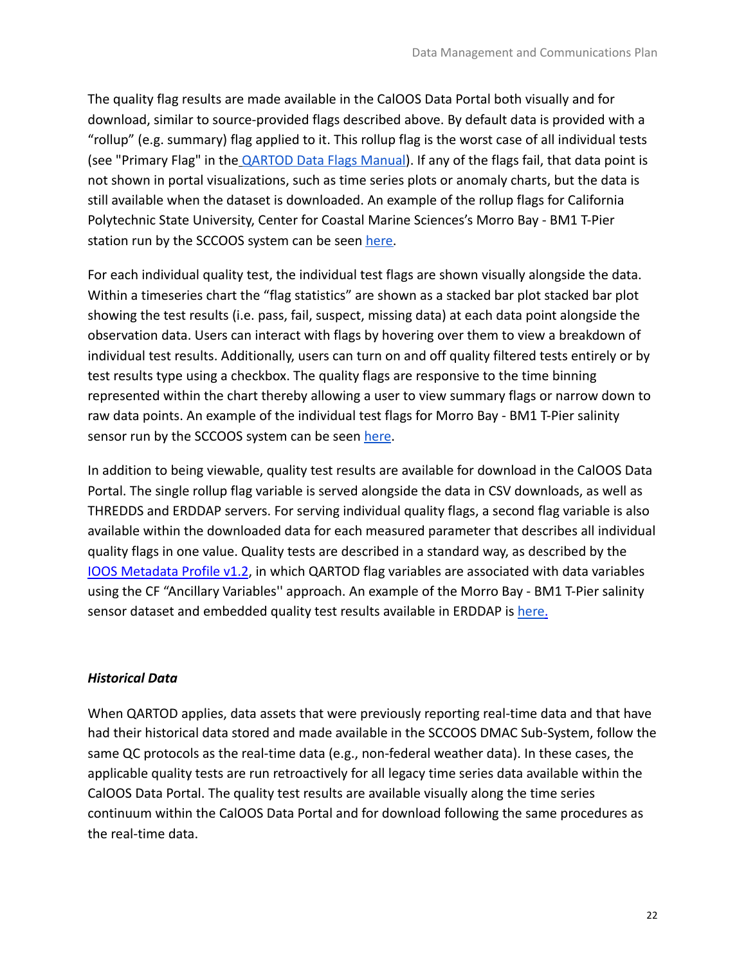The quality flag results are made available in the CalOOS Data Portal both visually and for download, similar to source-provided flags described above. By default data is provided with a "rollup" (e.g. summary) flag applied to it. This rollup flag is the worst case of all individual tests (see "Primary Flag" in the **[QARTOD Data Flags Manual](https://cdn.ioos.noaa.gov/media/2020/07/QARTOD-Data-Flags-Manual_version1.2final.pdf)**). If any of the flags fail, that data point is not shown in portal visualizations, such as time series plots or anomaly charts, but the data is still available when the dataset is downloaded. An example of the rollup flags for California Polytechnic State University, Center for Coastal Marine Sciences's Morro Bay - BM1 T-Pier station run by the SCCOOS system can be seen [here.](https://data.caloos.org/#metadata/20679/station)

For each individual quality test, the individual test flags are shown visually alongside the data. Within a timeseries chart the "flag statistics" are shown as a stacked bar plot stacked bar plot showing the test results (i.e. pass, fail, suspect, missing data) at each data point alongside the observation data. Users can interact with flags by hovering over them to view a breakdown of individual test results. Additionally, users can turn on and off quality filtered tests entirely or by test results type using a checkbox. The quality flags are responsive to the time binning represented within the chart thereby allowing a user to view summary flags or narrow down to raw data points. An example of the individual test flags for Morro Bay - BM1 T-Pier salinity sensor run by the SCCOOS system can be seen [here](https://data.caloos.org/#metadata/20679/station/14/sensor/data).

In addition to being viewable, quality test results are available for download in the CalOOS Data Portal. The single rollup flag variable is served alongside the data in CSV downloads, as well as THREDDS and ERDDAP servers. For serving individual quality flags, a second flag variable is also available within the downloaded data for each measured parameter that describes all individual quality flags in one value. Quality tests are described in a standard way, as described by the [IOOS Metadata Profile v1.2](https://ioos.github.io/ioos-metadata/ioos-metadata-profile-v1-2.html), in which QARTOD flag variables are associated with data variables using the CF "Ancillary Variables'' approach. An example of the Morro Bay - BM1 T-Pier salinity sensor dataset and embedded quality test results available in ERDDAP is [here](https://erddap.sensors.axds.co/erddap/tabledap/edu_calpoly_marine_morro.html?time%2Csea_water_practical_salinity%2Csea_water_practical_salinity_qc_agg%2Cz&time%3E%3D2021-11-23T21%3A43%3A38Z&time%3C%3D2021-12-03T18%3A46%3A26Z).

## *Historical Data*

When QARTOD applies, data assets that were previously reporting real-time data and that have had their historical data stored and made available in the SCCOOS DMAC Sub-System, follow the same QC protocols as the real-time data (e.g., non-federal weather data). In these cases, the applicable quality tests are run retroactively for all legacy time series data available within the CalOOS Data Portal. The quality test results are available visually along the time series continuum within the CalOOS Data Portal and for download following the same procedures as the real-time data.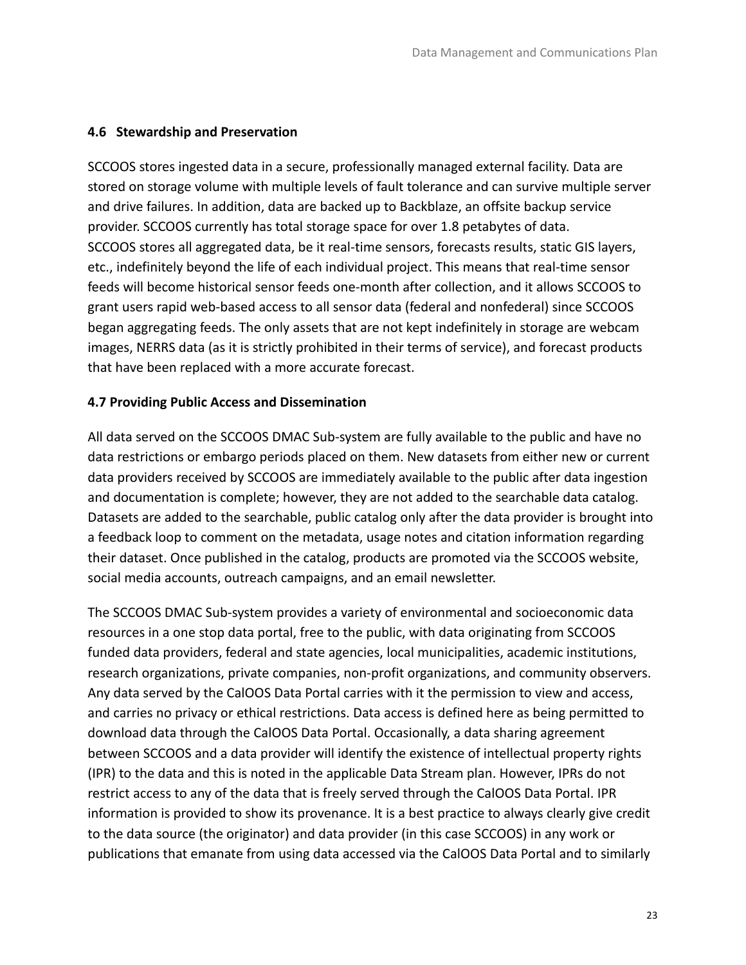### **4.6 Stewardship and Preservation**

SCCOOS stores ingested data in a secure, professionally managed external facility. Data are stored on storage volume with multiple levels of fault tolerance and can survive multiple server and drive failures. In addition, data are backed up to Backblaze, an offsite backup service provider. SCCOOS currently has total storage space for over 1.8 petabytes of data. SCCOOS stores all aggregated data, be it real-time sensors, forecasts results, static GIS layers, etc., indefinitely beyond the life of each individual project. This means that real-time sensor feeds will become historical sensor feeds one-month after collection, and it allows SCCOOS to grant users rapid web-based access to all sensor data (federal and nonfederal) since SCCOOS began aggregating feeds. The only assets that are not kept indefinitely in storage are webcam images, NERRS data (as it is strictly prohibited in their terms of service), and forecast products that have been replaced with a more accurate forecast.

## **4.7 Providing Public Access and Dissemination**

All data served on the SCCOOS DMAC Sub-system are fully available to the public and have no data restrictions or embargo periods placed on them. New datasets from either new or current data providers received by SCCOOS are immediately available to the public after data ingestion and documentation is complete; however, they are not added to the searchable data catalog. Datasets are added to the searchable, public catalog only after the data provider is brought into a feedback loop to comment on the metadata, usage notes and citation information regarding their dataset. Once published in the catalog, products are promoted via the SCCOOS website, social media accounts, outreach campaigns, and an email newsletter.

The SCCOOS DMAC Sub-system provides a variety of environmental and socioeconomic data resources in a one stop data portal, free to the public, with data originating from SCCOOS funded data providers, federal and state agencies, local municipalities, academic institutions, research organizations, private companies, non-profit organizations, and community observers. Any data served by the CalOOS Data Portal carries with it the permission to view and access, and carries no privacy or ethical restrictions. Data access is defined here as being permitted to download data through the CalOOS Data Portal. Occasionally, a data sharing agreement between SCCOOS and a data provider will identify the existence of intellectual property rights (IPR) to the data and this is noted in the applicable Data Stream plan. However, IPRs do not restrict access to any of the data that is freely served through the CalOOS Data Portal. IPR information is provided to show its provenance. It is a best practice to always clearly give credit to the data source (the originator) and data provider (in this case SCCOOS) in any work or publications that emanate from using data accessed via the CalOOS Data Portal and to similarly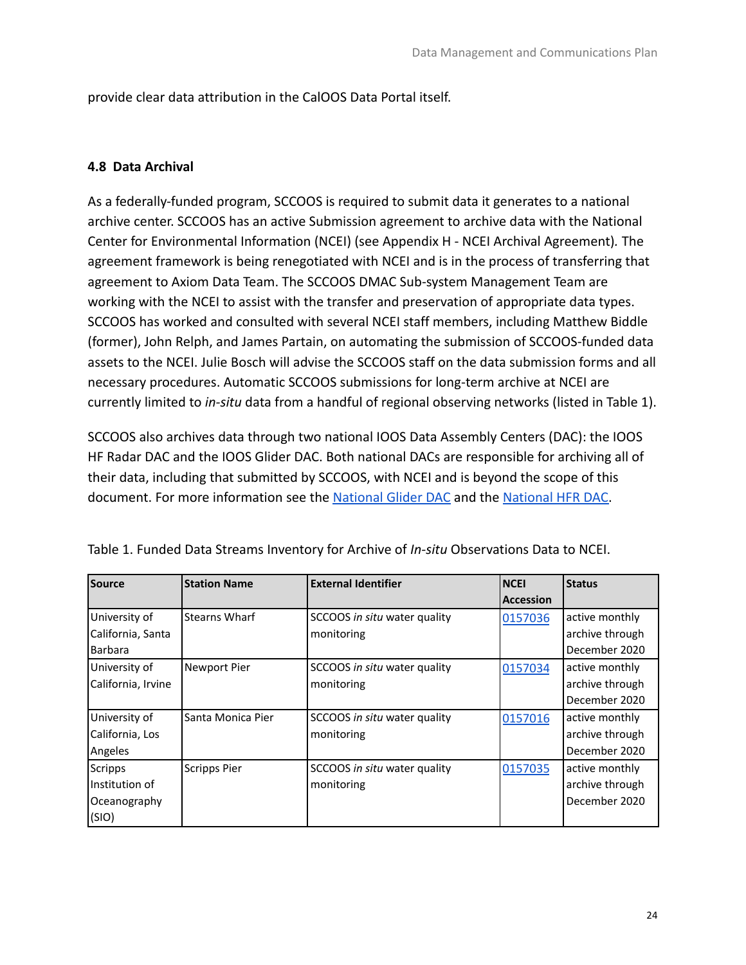provide clear data attribution in the CalOOS Data Portal itself.

## **4.8 Data Archival**

As a federally-funded program, SCCOOS is required to submit data it generates to a national archive center. SCCOOS has an active Submission agreement to archive data with the National Center for Environmental Information (NCEI) (see Appendix H - NCEI Archival Agreement)*.* The agreement framework is being renegotiated with NCEI and is in the process of transferring that agreement to Axiom Data Team. The SCCOOS DMAC Sub-system Management Team are working with the NCEI to assist with the transfer and preservation of appropriate data types. SCCOOS has worked and consulted with several NCEI staff members, including Matthew Biddle (former), John Relph, and James Partain, on automating the submission of SCCOOS-funded data assets to the NCEI. Julie Bosch will advise the SCCOOS staff on the data submission forms and all necessary procedures. Automatic SCCOOS submissions for long-term archive at NCEI are currently limited to *in-situ* data from a handful of regional observing networks (listed in Table 1).

SCCOOS also archives data through two national IOOS Data Assembly Centers (DAC): the IOOS HF Radar DAC and the IOOS Glider DAC. Both national DACs are responsible for archiving all of their data, including that submitted by SCCOOS, with NCEI and is beyond the scope of this document. For more information see the [National Glider](https://gliders.ioos.us) DAC and the [National HFR DAC.](https://hfradar.ioos.us)

| Source             | <b>Station Name</b>  | <b>External Identifier</b>   | <b>NCEI</b>      | <b>Status</b>   |
|--------------------|----------------------|------------------------------|------------------|-----------------|
|                    |                      |                              | <b>Accession</b> |                 |
| University of      | <b>Stearns Wharf</b> | SCCOOS in situ water quality | 0157036          | active monthly  |
| California, Santa  |                      | monitoring                   |                  | archive through |
| <b>Barbara</b>     |                      |                              |                  | December 2020   |
| University of      | Newport Pier         | SCCOOS in situ water quality | 0157034          | active monthly  |
| California, Irvine |                      | monitoring                   |                  | archive through |
|                    |                      |                              |                  | December 2020   |
| University of      | Santa Monica Pier    | SCCOOS in situ water quality | 0157016          | active monthly  |
| California, Los    |                      | monitoring                   |                  | archive through |
| Angeles            |                      |                              |                  | December 2020   |
| Scripps            | <b>Scripps Pier</b>  | SCCOOS in situ water quality | 0157035          | active monthly  |
| Institution of     |                      | monitoring                   |                  | archive through |
| Oceanography       |                      |                              |                  | December 2020   |
| (SIO)              |                      |                              |                  |                 |

Table 1. Funded Data Streams Inventory for Archive of *In-situ* Observations Data to NCEI.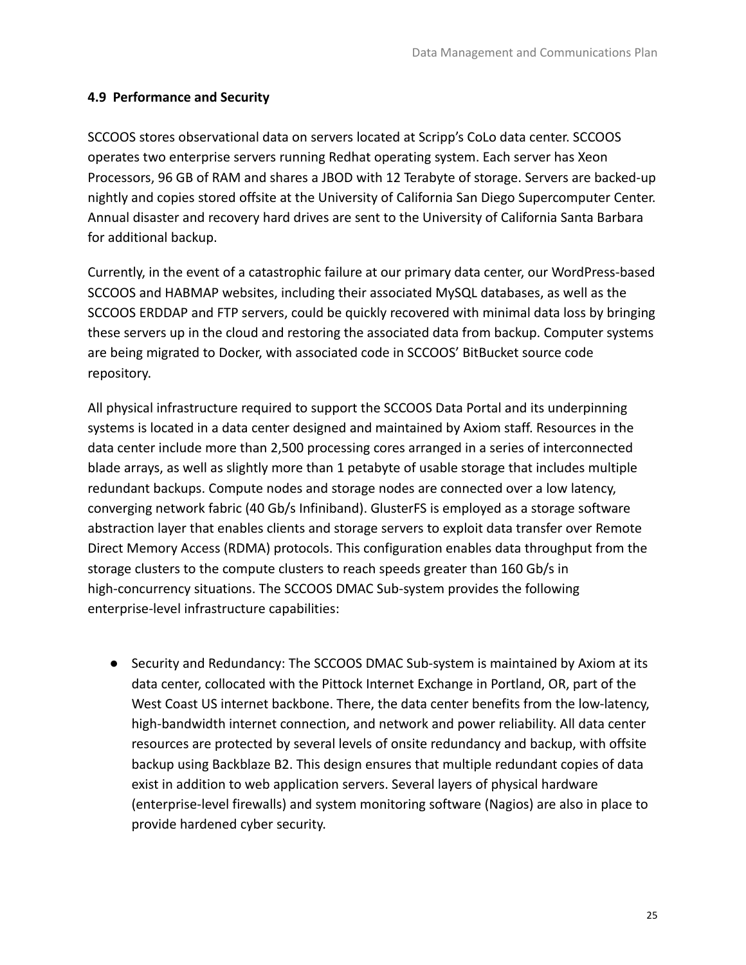## **4.9 Performance and Security**

SCCOOS stores observational data on servers located at Scripp's CoLo data center. SCCOOS operates two enterprise servers running Redhat operating system. Each server has Xeon Processors, 96 GB of RAM and shares a JBOD with 12 Terabyte of storage. Servers are backed-up nightly and copies stored offsite at the University of California San Diego Supercomputer Center. Annual disaster and recovery hard drives are sent to the University of California Santa Barbara for additional backup.

Currently, in the event of a catastrophic failure at our primary data center, our WordPress-based SCCOOS and HABMAP websites, including their associated MySQL databases, as well as the SCCOOS ERDDAP and FTP servers, could be quickly recovered with minimal data loss by bringing these servers up in the cloud and restoring the associated data from backup. Computer systems are being migrated to Docker, with associated code in SCCOOS' BitBucket source code repository.

All physical infrastructure required to support the SCCOOS Data Portal and its underpinning systems is located in a data center designed and maintained by Axiom staff. Resources in the data center include more than 2,500 processing cores arranged in a series of interconnected blade arrays, as well as slightly more than 1 petabyte of usable storage that includes multiple redundant backups. Compute nodes and storage nodes are connected over a low latency, converging network fabric (40 Gb/s Infiniband). GlusterFS is employed as a storage software abstraction layer that enables clients and storage servers to exploit data transfer over Remote Direct Memory Access (RDMA) protocols. This configuration enables data throughput from the storage clusters to the compute clusters to reach speeds greater than 160 Gb/s in high-concurrency situations. The SCCOOS DMAC Sub-system provides the following enterprise-level infrastructure capabilities:

● Security and Redundancy: The SCCOOS DMAC Sub-system is maintained by Axiom at its data center, collocated with the Pittock Internet Exchange in Portland, OR, part of the West Coast US internet backbone. There, the data center benefits from the low-latency, high-bandwidth internet connection, and network and power reliability. All data center resources are protected by several levels of onsite redundancy and backup, with offsite backup using Backblaze B2. This design ensures that multiple redundant copies of data exist in addition to web application servers. Several layers of physical hardware (enterprise-level firewalls) and system monitoring software (Nagios) are also in place to provide hardened cyber security.